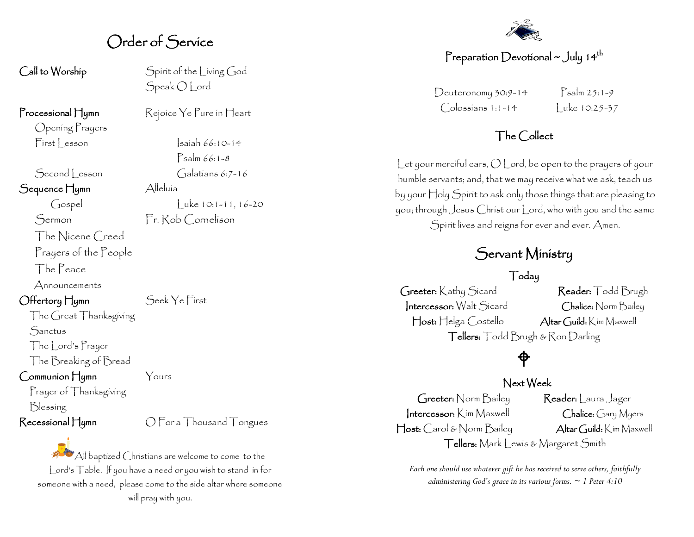## Order of Service

Opening Prayers

Sequence Hymn Alleluía

The Nicene Creed

Prayers of the People

The Peace

Announcements

### Offertory Hymn Seek Ye First

The Great Thanksgiving **Sanctus** The Lord's Prayer The Breaking of Bread

Communion Hymn Yours

Prayer of Thanksgiving Blessing

Recessional Hymn  $\bigcap$  For a Thousand Tongues

All baptized Christians are welcome to come to the Lord's Table. If you have a need or you wish to stand in for someone with a need, please come to the side altar where someone will pray with you.

Call to Worship Spirit of the Living God Speak O Lord

Processional Hymn Rejoice Ye Pure in Heart

 $First  $|$  reson \t|<sub>sain</sub> 66:10-14$ Psalm 66:1-8 Second esson Galatians 6:7-16

Gospel Luke 10:1-11, 16-20 Sermon Fr. Rob Cornelison

## Preparation Devotional  $\sim$  July 14<sup>th</sup>

 $Deuteronomy 30:9-14$   $Psalm 25:1-9$  $\bigcirc$  olossians 1:1-14  $\bigcup$  uke 10:25-37

### The Collect

Let your merciful ears,  $O$  Lord, be open to the prayers of your humble servants; and, that we may receive what we ask, teach us by your Holy Spirit to ask only those things that are pleasing to you; through Jesus Christ our Lord, who with you and the same Spirit lives and reigns for ever and ever. Amen.

## Servant Ministry

#### Today

Greeter: Kathy Sicard Reader: Todd Brugh Intercessor: Walt Sicard Chalice: Norm Bailey Host: Helga Costello Altar Guild: Kim Maxwell Tellers: Todd Brugh & Ron Darling

# $\bigoplus$

#### Next Week

Greeter: Norm Bailey Reader: | aura Jager Intercessor: Kim Maxwell Chalice: Gary Myers Host: Carol & Norm Bailey Altar Guild: Kim Maxwell Tellers: Mark Lewis & Margaret Smith

*Each one should use whatever gift he has received to serve others, faithfully administering God's grace in its various forms. ~ 1 Peter 4:10*